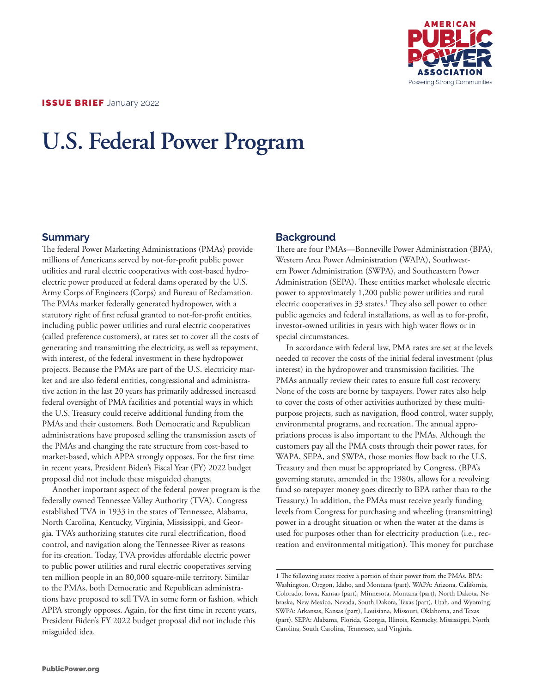

# **U.S. Federal Power Program**

### **Summary**

The federal Power Marketing Administrations (PMAs) provide millions of Americans served by not-for-profit public power utilities and rural electric cooperatives with cost-based hydroelectric power produced at federal dams operated by the U.S. Army Corps of Engineers (Corps) and Bureau of Reclamation. The PMAs market federally generated hydropower, with a statutory right of first refusal granted to not-for-profit entities, including public power utilities and rural electric cooperatives (called preference customers), at rates set to cover all the costs of generating and transmitting the electricity, as well as repayment, with interest, of the federal investment in these hydropower projects. Because the PMAs are part of the U.S. electricity market and are also federal entities, congressional and administrative action in the last 20 years has primarily addressed increased federal oversight of PMA facilities and potential ways in which the U.S. Treasury could receive additional funding from the PMAs and their customers. Both Democratic and Republican administrations have proposed selling the transmission assets of the PMAs and changing the rate structure from cost-based to market-based, which APPA strongly opposes. For the first time in recent years, President Biden's Fiscal Year (FY) 2022 budget proposal did not include these misguided changes.

Another important aspect of the federal power program is the federally owned Tennessee Valley Authority (TVA). Congress established TVA in 1933 in the states of Tennessee, Alabama, North Carolina, Kentucky, Virginia, Mississippi, and Georgia. TVA's authorizing statutes cite rural electrification, flood control, and navigation along the Tennessee River as reasons for its creation. Today, TVA provides affordable electric power to public power utilities and rural electric cooperatives serving ten million people in an 80,000 square-mile territory. Similar to the PMAs, both Democratic and Republican administrations have proposed to sell TVA in some form or fashion, which APPA strongly opposes. Again, for the first time in recent years, President Biden's FY 2022 budget proposal did not include this misguided idea.

## **Background**

There are four PMAs—Bonneville Power Administration (BPA), Western Area Power Administration (WAPA), Southwestern Power Administration (SWPA), and Southeastern Power Administration (SEPA). These entities market wholesale electric power to approximately 1,200 public power utilities and rural electric cooperatives in 33 states.<sup>1</sup> They also sell power to other public agencies and federal installations, as well as to for-profit, investor-owned utilities in years with high water flows or in special circumstances.

In accordance with federal law, PMA rates are set at the levels needed to recover the costs of the initial federal investment (plus interest) in the hydropower and transmission facilities. The PMAs annually review their rates to ensure full cost recovery. None of the costs are borne by taxpayers. Power rates also help to cover the costs of other activities authorized by these multipurpose projects, such as navigation, flood control, water supply, environmental programs, and recreation. The annual appropriations process is also important to the PMAs. Although the customers pay all the PMA costs through their power rates, for WAPA, SEPA, and SWPA, those monies flow back to the U.S. Treasury and then must be appropriated by Congress. (BPA's governing statute, amended in the 1980s, allows for a revolving fund so ratepayer money goes directly to BPA rather than to the Treasury.) In addition, the PMAs must receive yearly funding levels from Congress for purchasing and wheeling (transmitting) power in a drought situation or when the water at the dams is used for purposes other than for electricity production (i.e., recreation and environmental mitigation). This money for purchase

<sup>1</sup> The following states receive a portion of their power from the PMAs. BPA: Washington, Oregon, Idaho, and Montana (part). WAPA: Arizona, California, Colorado, Iowa, Kansas (part), Minnesota, Montana (part), North Dakota, Nebraska, New Mexico, Nevada, South Dakota, Texas (part), Utah, and Wyoming. SWPA: Arkansas, Kansas (part), Louisiana, Missouri, Oklahoma, and Texas (part). SEPA: Alabama, Florida, Georgia, Illinois, Kentucky, Mississippi, North Carolina, South Carolina, Tennessee, and Virginia.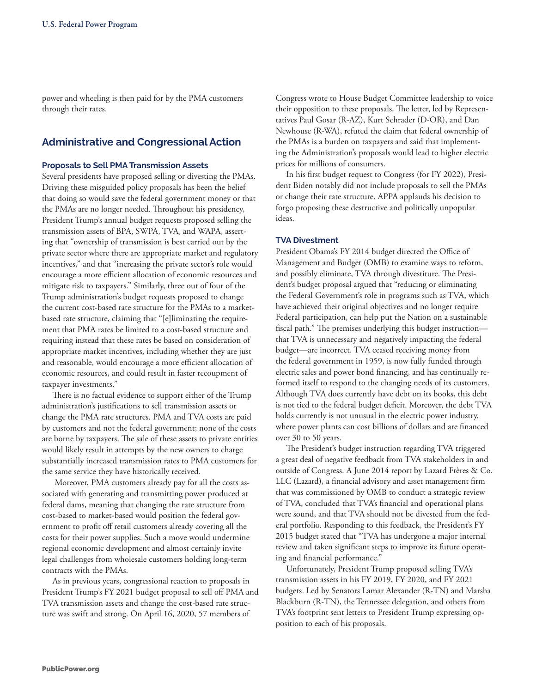power and wheeling is then paid for by the PMA customers through their rates.

## **Administrative and Congressional Action**

#### **Proposals to Sell PMA Transmission Assets**

Several presidents have proposed selling or divesting the PMAs. Driving these misguided policy proposals has been the belief that doing so would save the federal government money or that the PMAs are no longer needed. Throughout his presidency, President Trump's annual budget requests proposed selling the transmission assets of BPA, SWPA, TVA, and WAPA, asserting that "ownership of transmission is best carried out by the private sector where there are appropriate market and regulatory incentives," and that "increasing the private sector's role would encourage a more efficient allocation of economic resources and mitigate risk to taxpayers." Similarly, three out of four of the Trump administration's budget requests proposed to change the current cost-based rate structure for the PMAs to a marketbased rate structure, claiming that "[e]liminating the requirement that PMA rates be limited to a cost-based structure and requiring instead that these rates be based on consideration of appropriate market incentives, including whether they are just and reasonable, would encourage a more efficient allocation of economic resources, and could result in faster recoupment of taxpayer investments."

There is no factual evidence to support either of the Trump administration's justifications to sell transmission assets or change the PMA rate structures. PMA and TVA costs are paid by customers and not the federal government; none of the costs are borne by taxpayers. The sale of these assets to private entities would likely result in attempts by the new owners to charge substantially increased transmission rates to PMA customers for the same service they have historically received.

 Moreover, PMA customers already pay for all the costs associated with generating and transmitting power produced at federal dams, meaning that changing the rate structure from cost-based to market-based would position the federal government to profit off retail customers already covering all the costs for their power supplies. Such a move would undermine regional economic development and almost certainly invite legal challenges from wholesale customers holding long-term contracts with the PMAs.

As in previous years, congressional reaction to proposals in President Trump's FY 2021 budget proposal to sell off PMA and TVA transmission assets and change the cost-based rate structure was swift and strong. On April 16, 2020, 57 members of

Congress wrote to House Budget Committee leadership to voice their opposition to these proposals. The letter, led by Representatives Paul Gosar (R-AZ), Kurt Schrader (D-OR), and Dan Newhouse (R-WA), refuted the claim that federal ownership of the PMAs is a burden on taxpayers and said that implementing the Administration's proposals would lead to higher electric prices for millions of consumers.

In his first budget request to Congress (for FY 2022), President Biden notably did not include proposals to sell the PMAs or change their rate structure. APPA applauds his decision to forgo proposing these destructive and politically unpopular ideas.

#### **TVA Divestment**

President Obama's FY 2014 budget directed the Office of Management and Budget (OMB) to examine ways to reform, and possibly eliminate, TVA through divestiture. The President's budget proposal argued that "reducing or eliminating the Federal Government's role in programs such as TVA, which have achieved their original objectives and no longer require Federal participation, can help put the Nation on a sustainable fiscal path." The premises underlying this budget instruction that TVA is unnecessary and negatively impacting the federal budget—are incorrect. TVA ceased receiving money from the federal government in 1959, is now fully funded through electric sales and power bond financing, and has continually reformed itself to respond to the changing needs of its customers. Although TVA does currently have debt on its books, this debt is not tied to the federal budget deficit. Moreover, the debt TVA holds currently is not unusual in the electric power industry, where power plants can cost billions of dollars and are financed over 30 to 50 years.

The President's budget instruction regarding TVA triggered a great deal of negative feedback from TVA stakeholders in and outside of Congress. A June 2014 report by Lazard Frères & Co. LLC (Lazard), a financial advisory and asset management firm that was commissioned by OMB to conduct a strategic review of TVA, concluded that TVA's financial and operational plans were sound, and that TVA should not be divested from the federal portfolio. Responding to this feedback, the President's FY 2015 budget stated that "TVA has undergone a major internal review and taken significant steps to improve its future operating and financial performance."

Unfortunately, President Trump proposed selling TVA's transmission assets in his FY 2019, FY 2020, and FY 2021 budgets. Led by Senators Lamar Alexander (R-TN) and Marsha Blackburn (R-TN), the Tennessee delegation, and others from TVA's footprint sent letters to President Trump expressing opposition to each of his proposals.